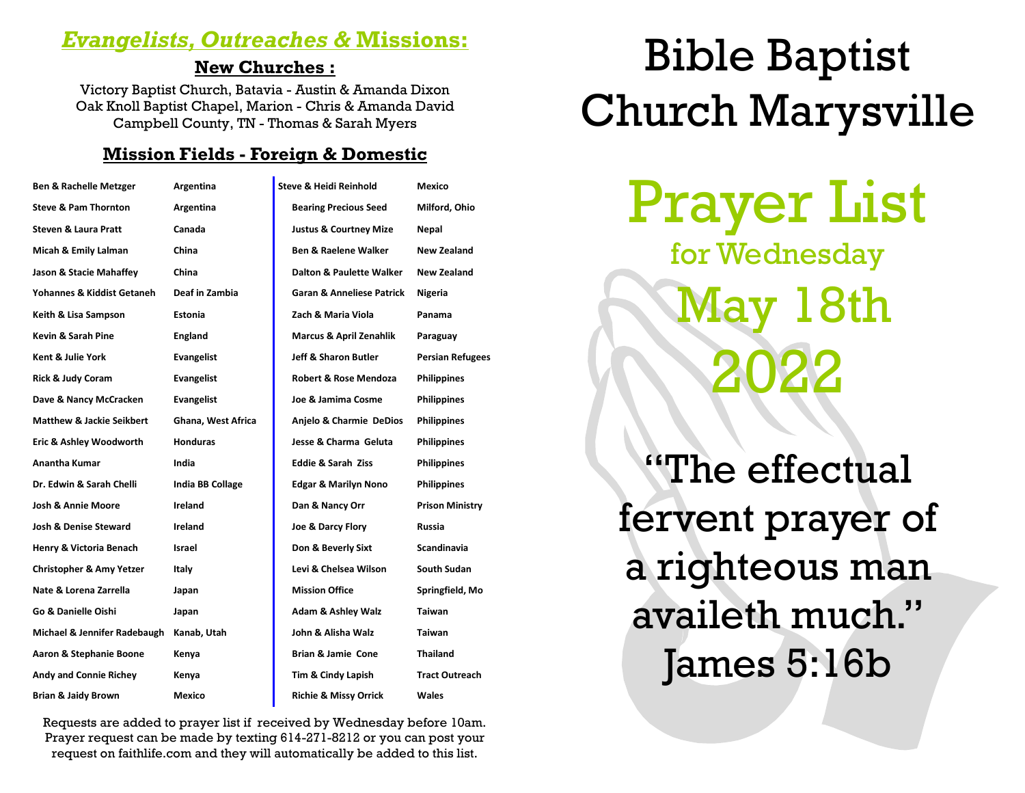# *Evangelists, Outreaches &* **Missions:**

#### **New Churches :**

Victory Baptist Church, Batavia - Austin & Amanda Dixon Oak Knoll Baptist Chapel, Marion - Chris & Amanda David Campbell County, TN - Thomas & Sarah Myers

#### **Mission Fields - Foreign & Domestic**

| <b>Ben &amp; Rachelle Metzger</b>    | Argentina          | <b>Steve &amp; Heidi Reinhold</b>    | Mexico                  |
|--------------------------------------|--------------------|--------------------------------------|-------------------------|
| <b>Steve &amp; Pam Thornton</b>      | Argentina          | <b>Bearing Precious Seed</b>         | Milford, Ohio           |
| <b>Steven &amp; Laura Pratt</b>      | Canada             | <b>Justus &amp; Courtney Mize</b>    | Nepal                   |
| Micah & Emily Lalman                 | China              | <b>Ben &amp; Raelene Walker</b>      | New Zealand             |
| Jason & Stacie Mahaffey              | China              | Dalton & Paulette Walker             | <b>New Zealand</b>      |
| Yohannes & Kiddist Getaneh           | Deaf in Zambia     | <b>Garan &amp; Anneliese Patrick</b> | Nigeria                 |
| Keith & Lisa Sampson                 | <b>Estonia</b>     | Zach & Maria Viola                   | Panama                  |
| Kevin & Sarah Pine                   | <b>England</b>     | Marcus & April Zenahlik              | Paraguay                |
| Kent & Julie York                    | <b>Evangelist</b>  | Jeff & Sharon Butler                 | <b>Persian Refugees</b> |
| <b>Rick &amp; Judy Coram</b>         | Evangelist         | <b>Robert &amp; Rose Mendoza</b>     | <b>Philippines</b>      |
| Dave & Nancy McCracken               | Evangelist         | Joe & Jamima Cosme                   | <b>Philippines</b>      |
| <b>Matthew &amp; Jackie Seikbert</b> | Ghana, West Africa | Anjelo & Charmie DeDios              | <b>Philippines</b>      |
| Eric & Ashley Woodworth              | <b>Honduras</b>    | Jesse & Charma Geluta                | <b>Philippines</b>      |
| <b>Anantha Kumar</b>                 | India              | <b>Eddie &amp; Sarah Ziss</b>        | <b>Philippines</b>      |
| Dr. Edwin & Sarah Chelli             | India BB Collage   | <b>Edgar &amp; Marilyn Nono</b>      | <b>Philippines</b>      |
| <b>Josh &amp; Annie Moore</b>        | Ireland            | Dan & Nancy Orr                      | <b>Prison Ministry</b>  |
| Josh & Denise Steward                | Ireland            | Joe & Darcy Flory                    | Russia                  |
| Henry & Victoria Benach              | <b>Israel</b>      | Don & Beverly Sixt                   | <b>Scandinavia</b>      |
| <b>Christopher &amp; Amy Yetzer</b>  | Italy              | Levi & Chelsea Wilson                | South Sudan             |
| Nate & Lorena Zarrella               | Japan              | <b>Mission Office</b>                | Springfield, Mo         |
| Go & Danielle Oishi                  | Japan              | <b>Adam &amp; Ashley Walz</b>        | Taiwan                  |
| Michael & Jennifer Radebaugh         | Kanab, Utah        | John & Alisha Walz                   | <b>Taiwan</b>           |
| Aaron & Stephanie Boone              | Kenya              | <b>Brian &amp; Jamie Cone</b>        | <b>Thailand</b>         |
| <b>Andy and Connie Richey</b>        | Kenya              | Tim & Cindy Lapish                   | <b>Tract Outreach</b>   |
| <b>Brian &amp; Jaidy Brown</b>       | Mexico             | <b>Richie &amp; Missy Orrick</b>     | Wales                   |

Requests are added to prayer list if received by Wednesday before 10am. Prayer request can be made by texting 614-271-8212 or you can post your request on faithlife.com and they will automatically be added to this list.

# Bible Baptist Church Marysville

Prayer List for Wednesday l 8th 2022

"The effectual fervent prayer of a righteous man availeth much." James 5:16b